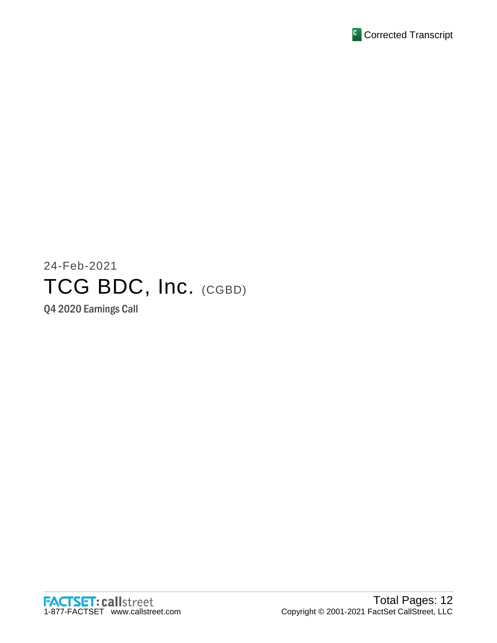

# 24-Feb-2021 TCG BDC, Inc. (CGBD)

Q4 2020 Earnings Call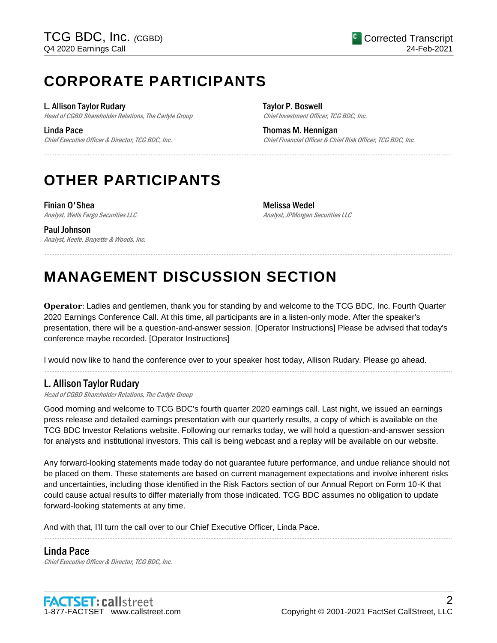# **CORPORATE PARTICIPANTS**

L. Allison Taylor Rudary

Head of CGBD Shareholder Relations, The Carlyle Group

Linda Pace

Chief Executive Officer & Director, TCG BDC, Inc.

Taylor P. Boswell Chief Investment Officer, TCG BDC, Inc.

Thomas M. Hennigan Chief Financial Officer & Chief Risk Officer, TCG BDC, Inc.

# **OTHER PARTICIPANTS**

Finian O'Shea Analyst, Wells Fargo Securities LLC

Melissa Wedel Analyst, JPMorgan Securities LLC

Paul Johnson Analyst, Keefe, Bruyette & Woods, Inc.

# **MANAGEMENT DISCUSSION SECTION**

**Operator**: Ladies and gentlemen, thank you for standing by and welcome to the TCG BDC, Inc. Fourth Quarter 2020 Earnings Conference Call. At this time, all participants are in a listen-only mode. After the speaker's presentation, there will be a question-and-answer session. [Operator Instructions] Please be advised that today's conference maybe recorded. [Operator Instructions]

......................................................................................................................................................................................................................................................

......................................................................................................................................................................................................................................................

......................................................................................................................................................................................................................................................

I would now like to hand the conference over to your speaker host today, Allison Rudary. Please go ahead.

# L. Allison Taylor Rudary

Head of CGBD Shareholder Relations, The Carlyle Group

Good morning and welcome to TCG BDC's fourth quarter 2020 earnings call. Last night, we issued an earnings press release and detailed earnings presentation with our quarterly results, a copy of which is available on the TCG BDC Investor Relations website. Following our remarks today, we will hold a question-and-answer session for analysts and institutional investors. This call is being webcast and a replay will be available on our website.

Any forward-looking statements made today do not guarantee future performance, and undue reliance should not be placed on them. These statements are based on current management expectations and involve inherent risks and uncertainties, including those identified in the Risk Factors section of our Annual Report on Form 10-K that could cause actual results to differ materially from those indicated. TCG BDC assumes no obligation to update forward-looking statements at any time.

......................................................................................................................................................................................................................................................

And with that, I'll turn the call over to our Chief Executive Officer, Linda Pace.

## Linda Pace

Chief Executive Officer & Director, TCG BDC, Inc.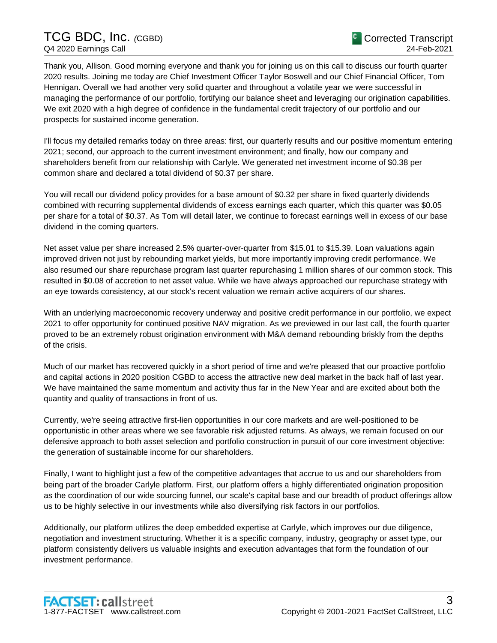# TCG BDC, Inc. *(*CGBD) Q4 2020 Earnings Call

Thank you, Allison. Good morning everyone and thank you for joining us on this call to discuss our fourth quarter 2020 results. Joining me today are Chief Investment Officer Taylor Boswell and our Chief Financial Officer, Tom Hennigan. Overall we had another very solid quarter and throughout a volatile year we were successful in managing the performance of our portfolio, fortifying our balance sheet and leveraging our origination capabilities. We exit 2020 with a high degree of confidence in the fundamental credit trajectory of our portfolio and our prospects for sustained income generation.

I'll focus my detailed remarks today on three areas: first, our quarterly results and our positive momentum entering 2021; second, our approach to the current investment environment; and finally, how our company and shareholders benefit from our relationship with Carlyle. We generated net investment income of \$0.38 per common share and declared a total dividend of \$0.37 per share.

You will recall our dividend policy provides for a base amount of \$0.32 per share in fixed quarterly dividends combined with recurring supplemental dividends of excess earnings each quarter, which this quarter was \$0.05 per share for a total of \$0.37. As Tom will detail later, we continue to forecast earnings well in excess of our base dividend in the coming quarters.

Net asset value per share increased 2.5% quarter-over-quarter from \$15.01 to \$15.39. Loan valuations again improved driven not just by rebounding market yields, but more importantly improving credit performance. We also resumed our share repurchase program last quarter repurchasing 1 million shares of our common stock. This resulted in \$0.08 of accretion to net asset value. While we have always approached our repurchase strategy with an eye towards consistency, at our stock's recent valuation we remain active acquirers of our shares.

With an underlying macroeconomic recovery underway and positive credit performance in our portfolio, we expect 2021 to offer opportunity for continued positive NAV migration. As we previewed in our last call, the fourth quarter proved to be an extremely robust origination environment with M&A demand rebounding briskly from the depths of the crisis.

Much of our market has recovered quickly in a short period of time and we're pleased that our proactive portfolio and capital actions in 2020 position CGBD to access the attractive new deal market in the back half of last year. We have maintained the same momentum and activity thus far in the New Year and are excited about both the quantity and quality of transactions in front of us.

Currently, we're seeing attractive first-lien opportunities in our core markets and are well-positioned to be opportunistic in other areas where we see favorable risk adjusted returns. As always, we remain focused on our defensive approach to both asset selection and portfolio construction in pursuit of our core investment objective: the generation of sustainable income for our shareholders.

Finally, I want to highlight just a few of the competitive advantages that accrue to us and our shareholders from being part of the broader Carlyle platform. First, our platform offers a highly differentiated origination proposition as the coordination of our wide sourcing funnel, our scale's capital base and our breadth of product offerings allow us to be highly selective in our investments while also diversifying risk factors in our portfolios.

Additionally, our platform utilizes the deep embedded expertise at Carlyle, which improves our due diligence, negotiation and investment structuring. Whether it is a specific company, industry, geography or asset type, our platform consistently delivers us valuable insights and execution advantages that form the foundation of our investment performance.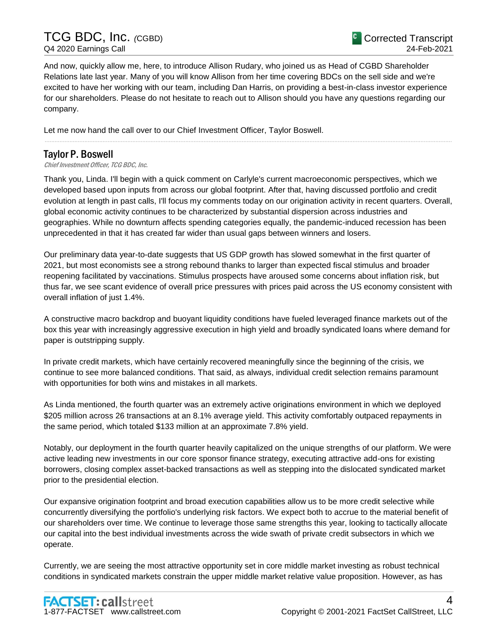And now, quickly allow me, here, to introduce Allison Rudary, who joined us as Head of CGBD Shareholder Relations late last year. Many of you will know Allison from her time covering BDCs on the sell side and we're excited to have her working with our team, including Dan Harris, on providing a best-in-class investor experience for our shareholders. Please do not hesitate to reach out to Allison should you have any questions regarding our company.

......................................................................................................................................................................................................................................................

Let me now hand the call over to our Chief Investment Officer, Taylor Boswell.

# Taylor P. Boswell

Chief Investment Officer, TCG BDC, Inc.

Thank you, Linda. I'll begin with a quick comment on Carlyle's current macroeconomic perspectives, which we developed based upon inputs from across our global footprint. After that, having discussed portfolio and credit evolution at length in past calls, I'll focus my comments today on our origination activity in recent quarters. Overall, global economic activity continues to be characterized by substantial dispersion across industries and geographies. While no downturn affects spending categories equally, the pandemic-induced recession has been unprecedented in that it has created far wider than usual gaps between winners and losers.

Our preliminary data year-to-date suggests that US GDP growth has slowed somewhat in the first quarter of 2021, but most economists see a strong rebound thanks to larger than expected fiscal stimulus and broader reopening facilitated by vaccinations. Stimulus prospects have aroused some concerns about inflation risk, but thus far, we see scant evidence of overall price pressures with prices paid across the US economy consistent with overall inflation of just 1.4%.

A constructive macro backdrop and buoyant liquidity conditions have fueled leveraged finance markets out of the box this year with increasingly aggressive execution in high yield and broadly syndicated loans where demand for paper is outstripping supply.

In private credit markets, which have certainly recovered meaningfully since the beginning of the crisis, we continue to see more balanced conditions. That said, as always, individual credit selection remains paramount with opportunities for both wins and mistakes in all markets.

As Linda mentioned, the fourth quarter was an extremely active originations environment in which we deployed \$205 million across 26 transactions at an 8.1% average yield. This activity comfortably outpaced repayments in the same period, which totaled \$133 million at an approximate 7.8% yield.

Notably, our deployment in the fourth quarter heavily capitalized on the unique strengths of our platform. We were active leading new investments in our core sponsor finance strategy, executing attractive add-ons for existing borrowers, closing complex asset-backed transactions as well as stepping into the dislocated syndicated market prior to the presidential election.

Our expansive origination footprint and broad execution capabilities allow us to be more credit selective while concurrently diversifying the portfolio's underlying risk factors. We expect both to accrue to the material benefit of our shareholders over time. We continue to leverage those same strengths this year, looking to tactically allocate our capital into the best individual investments across the wide swath of private credit subsectors in which we operate.

Currently, we are seeing the most attractive opportunity set in core middle market investing as robust technical conditions in syndicated markets constrain the upper middle market relative value proposition. However, as has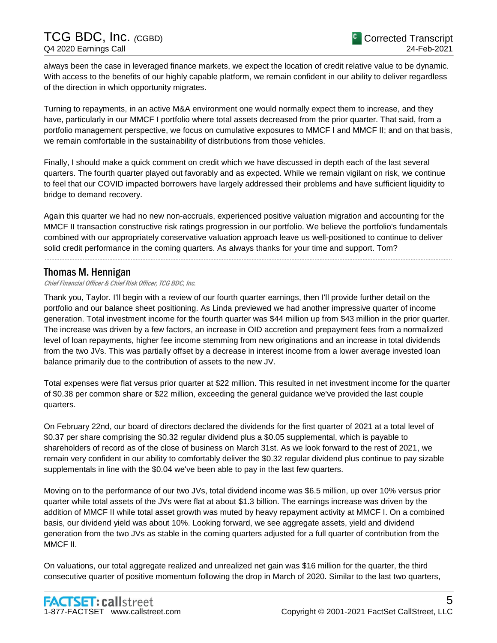always been the case in leveraged finance markets, we expect the location of credit relative value to be dynamic. With access to the benefits of our highly capable platform, we remain confident in our ability to deliver regardless of the direction in which opportunity migrates.

Turning to repayments, in an active M&A environment one would normally expect them to increase, and they have, particularly in our MMCF I portfolio where total assets decreased from the prior quarter. That said, from a portfolio management perspective, we focus on cumulative exposures to MMCF I and MMCF II; and on that basis, we remain comfortable in the sustainability of distributions from those vehicles.

Finally, I should make a quick comment on credit which we have discussed in depth each of the last several quarters. The fourth quarter played out favorably and as expected. While we remain vigilant on risk, we continue to feel that our COVID impacted borrowers have largely addressed their problems and have sufficient liquidity to bridge to demand recovery.

Again this quarter we had no new non-accruals, experienced positive valuation migration and accounting for the MMCF II transaction constructive risk ratings progression in our portfolio. We believe the portfolio's fundamentals combined with our appropriately conservative valuation approach leave us well-positioned to continue to deliver solid credit performance in the coming quarters. As always thanks for your time and support. Tom?

......................................................................................................................................................................................................................................................

# Thomas M. Hennigan

Chief Financial Officer & Chief Risk Officer, TCG BDC, Inc.

Thank you, Taylor. I'll begin with a review of our fourth quarter earnings, then I'll provide further detail on the portfolio and our balance sheet positioning. As Linda previewed we had another impressive quarter of income generation. Total investment income for the fourth quarter was \$44 million up from \$43 million in the prior quarter. The increase was driven by a few factors, an increase in OID accretion and prepayment fees from a normalized level of loan repayments, higher fee income stemming from new originations and an increase in total dividends from the two JVs. This was partially offset by a decrease in interest income from a lower average invested loan balance primarily due to the contribution of assets to the new JV.

Total expenses were flat versus prior quarter at \$22 million. This resulted in net investment income for the quarter of \$0.38 per common share or \$22 million, exceeding the general guidance we've provided the last couple quarters.

On February 22nd, our board of directors declared the dividends for the first quarter of 2021 at a total level of \$0.37 per share comprising the \$0.32 regular dividend plus a \$0.05 supplemental, which is payable to shareholders of record as of the close of business on March 31st. As we look forward to the rest of 2021, we remain very confident in our ability to comfortably deliver the \$0.32 regular dividend plus continue to pay sizable supplementals in line with the \$0.04 we've been able to pay in the last few quarters.

Moving on to the performance of our two JVs, total dividend income was \$6.5 million, up over 10% versus prior quarter while total assets of the JVs were flat at about \$1.3 billion. The earnings increase was driven by the addition of MMCF II while total asset growth was muted by heavy repayment activity at MMCF I. On a combined basis, our dividend yield was about 10%. Looking forward, we see aggregate assets, yield and dividend generation from the two JVs as stable in the coming quarters adjusted for a full quarter of contribution from the MMCF II.

On valuations, our total aggregate realized and unrealized net gain was \$16 million for the quarter, the third consecutive quarter of positive momentum following the drop in March of 2020. Similar to the last two quarters,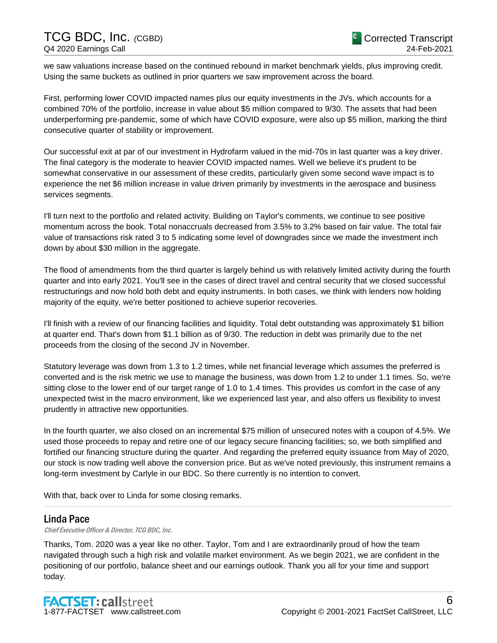we saw valuations increase based on the continued rebound in market benchmark yields, plus improving credit. Using the same buckets as outlined in prior quarters we saw improvement across the board.

First, performing lower COVID impacted names plus our equity investments in the JVs, which accounts for a combined 70% of the portfolio, increase in value about \$5 million compared to 9/30. The assets that had been underperforming pre-pandemic, some of which have COVID exposure, were also up \$5 million, marking the third consecutive quarter of stability or improvement.

Our successful exit at par of our investment in Hydrofarm valued in the mid-70s in last quarter was a key driver. The final category is the moderate to heavier COVID impacted names. Well we believe it's prudent to be somewhat conservative in our assessment of these credits, particularly given some second wave impact is to experience the net \$6 million increase in value driven primarily by investments in the aerospace and business services segments.

I'll turn next to the portfolio and related activity. Building on Taylor's comments, we continue to see positive momentum across the book. Total nonaccruals decreased from 3.5% to 3.2% based on fair value. The total fair value of transactions risk rated 3 to 5 indicating some level of downgrades since we made the investment inch down by about \$30 million in the aggregate.

The flood of amendments from the third quarter is largely behind us with relatively limited activity during the fourth quarter and into early 2021. You'll see in the cases of direct travel and central security that we closed successful restructurings and now hold both debt and equity instruments. In both cases, we think with lenders now holding majority of the equity, we're better positioned to achieve superior recoveries.

I'll finish with a review of our financing facilities and liquidity. Total debt outstanding was approximately \$1 billion at quarter end. That's down from \$1.1 billion as of 9/30. The reduction in debt was primarily due to the net proceeds from the closing of the second JV in November.

Statutory leverage was down from 1.3 to 1.2 times, while net financial leverage which assumes the preferred is converted and is the risk metric we use to manage the business, was down from 1.2 to under 1.1 times. So, we're sitting close to the lower end of our target range of 1.0 to 1.4 times. This provides us comfort in the case of any unexpected twist in the macro environment, like we experienced last year, and also offers us flexibility to invest prudently in attractive new opportunities.

In the fourth quarter, we also closed on an incremental \$75 million of unsecured notes with a coupon of 4.5%. We used those proceeds to repay and retire one of our legacy secure financing facilities; so, we both simplified and fortified our financing structure during the quarter. And regarding the preferred equity issuance from May of 2020, our stock is now trading well above the conversion price. But as we've noted previously, this instrument remains a long-term investment by Carlyle in our BDC. So there currently is no intention to convert.

......................................................................................................................................................................................................................................................

With that, back over to Linda for some closing remarks.

## Linda Pace

Chief Executive Officer & Director, TCG BDC, Inc.

Thanks, Tom. 2020 was a year like no other. Taylor, Tom and I are extraordinarily proud of how the team navigated through such a high risk and volatile market environment. As we begin 2021, we are confident in the positioning of our portfolio, balance sheet and our earnings outlook. Thank you all for your time and support today.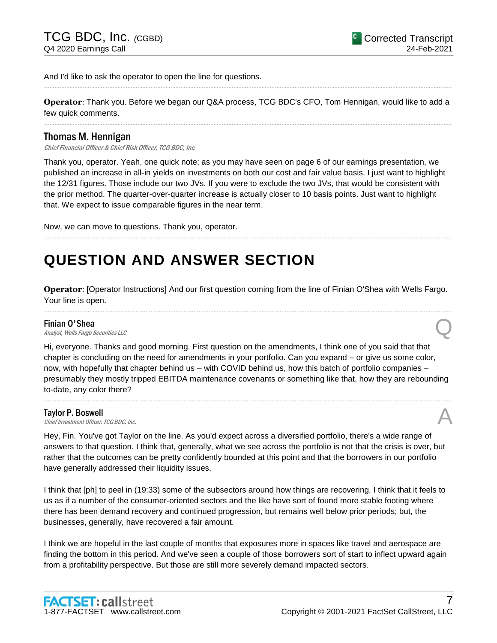And I'd like to ask the operator to open the line for questions.

**Operator**: Thank you. Before we began our Q&A process, TCG BDC's CFO, Tom Hennigan, would like to add a few quick comments. ......................................................................................................................................................................................................................................................

......................................................................................................................................................................................................................................................

## Thomas M. Hennigan

Chief Financial Officer & Chief Risk Officer, TCG BDC, Inc.

Thank you, operator. Yeah, one quick note; as you may have seen on page 6 of our earnings presentation, we published an increase in all-in yields on investments on both our cost and fair value basis. I just want to highlight the 12/31 figures. Those include our two JVs. If you were to exclude the two JVs, that would be consistent with the prior method. The quarter-over-quarter increase is actually closer to 10 basis points. Just want to highlight that. We expect to issue comparable figures in the near term.

......................................................................................................................................................................................................................................................

Now, we can move to questions. Thank you, operator.

# **QUESTION AND ANSWER SECTION**

**Operator**: [Operator Instructions] And our first question coming from the line of Finian O'Shea with Wells Fargo. Your line is open. ......................................................................................................................................................................................................................................................

#### Finian O'Shea

**Finian O'Shea**<br>Analyst, Wells Fargo Securities LLC

Hi, everyone. Thanks and good morning. First question on the amendments, I think one of you said that that chapter is concluding on the need for amendments in your portfolio. Can you expand – or give us some color, now, with hopefully that chapter behind us – with COVID behind us, how this batch of portfolio companies – presumably they mostly tripped EBITDA maintenance covenants or something like that, how they are rebounding to-date, any color there?

......................................................................................................................................................................................................................................................

#### Taylor P. Boswell

**Taylor P. Boswell**<br>Chief Investment Officer, TCG BDC, Inc.  $\mathcal{A}$ 

Hey, Fin. You've got Taylor on the line. As you'd expect across a diversified portfolio, there's a wide range of answers to that question. I think that, generally, what we see across the portfolio is not that the crisis is over, but rather that the outcomes can be pretty confidently bounded at this point and that the borrowers in our portfolio have generally addressed their liquidity issues.

I think that [ph] to peel in (19:33) some of the subsectors around how things are recovering, I think that it feels to us as if a number of the consumer-oriented sectors and the like have sort of found more stable footing where there has been demand recovery and continued progression, but remains well below prior periods; but, the businesses, generally, have recovered a fair amount.

I think we are hopeful in the last couple of months that exposures more in spaces like travel and aerospace are finding the bottom in this period. And we've seen a couple of those borrowers sort of start to inflect upward again from a profitability perspective. But those are still more severely demand impacted sectors.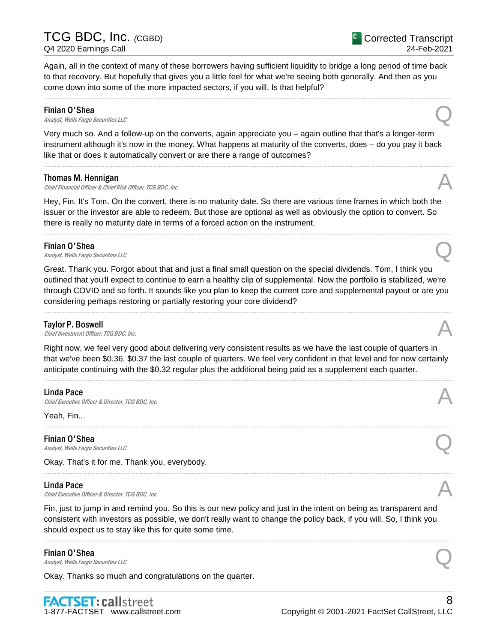Again, all in the context of many of these borrowers having sufficient liquidity to bridge a long period of time back to that recovery. But hopefully that gives you a little feel for what we're seeing both generally. And then as you come down into some of the more impacted sectors, if you will. Is that helpful?

......................................................................................................................................................................................................................................................

**Finian O'Shea**<br>Analyst, Wells Fargo Securities LLC **Finian O'Shea**<br>Analyst, Wells Fargo Securities LLC

Very much so. And a follow-up on the converts, again appreciate you – again outline that that's a longer-term instrument although it's now in the money. What happens at maturity of the converts, does – do you pay it back like that or does it automatically convert or are there a range of outcomes?

......................................................................................................................................................................................................................................................

#### Thomas M. Hennigan

Chief Financial Officer & Chief Risk Officer, TCG BDC, Inc.

Hey, Fin. It's Tom. On the convert, there is no maturity date. So there are various time frames in which both the issuer or the investor are able to redeem. But those are optional as well as obviously the option to convert. So there is really no maturity date in terms of a forced action on the instrument.

......................................................................................................................................................................................................................................................

### Finian O'Shea

**Finian O'Shea**<br>Analyst, Wells Fargo Securities LLC

Great. Thank you. Forgot about that and just a final small question on the special dividends. Tom, I think you outlined that you'll expect to continue to earn a healthy clip of supplemental. Now the portfolio is stabilized, we're through COVID and so forth. It sounds like you plan to keep the current core and supplemental payout or are you considering perhaps restoring or partially restoring your core dividend?

......................................................................................................................................................................................................................................................

Taylor P. Boswell<br>Chief Investment Officer, TCG BDC, Inc. **Taylor P. Boswell**<br>Chief Investment Officer, TCG BDC, Inc.  $\mathcal{A}$ 

Right now, we feel very good about delivering very consistent results as we have the last couple of quarters in that we've been \$0.36, \$0.37 the last couple of quarters. We feel very confident in that level and for now certainly anticipate continuing with the \$0.32 regular plus the additional being paid as a supplement each quarter.

......................................................................................................................................................................................................................................................

......................................................................................................................................................................................................................................................

......................................................................................................................................................................................................................................................

#### Linda Pace

Chief Executive Officer & Director, TCG BDC, Inc.

Yeah, Fin...

#### Finian O'Shea

**Finian O'Shea**<br>Analyst, Wells Fargo Securities LLC

Okay. That's it for me. Thank you, everybody.

#### Linda Pace

 $\Box$ inda Pace<br>Chief Executive Officer & Director, TCG BDC, Inc.

Fin, just to jump in and remind you. So this is our new policy and just in the intent on being as transparent and consistent with investors as possible, we don't really want to change the policy back, if you will. So, I think you should expect us to stay like this for quite some time.

......................................................................................................................................................................................................................................................

**Finian O'Shea**<br>Analyst, Wells Fargo Securities LLC **Finian O'Shea**<br>Analyst, Wells Fargo Securities LLC

Okay. Thanks so much and congratulations on the quarter.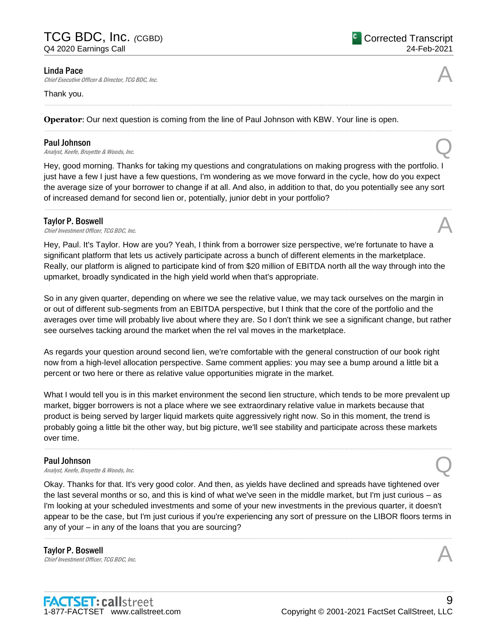**Linda Pace**<br>Chief Executive Officer & Director, TCG BDC, Inc. **Linda Pace**<br>Chief Executive Officer & Director, TCG BDC, Inc.

#### Thank you.

**Operator**: Our next question is coming from the line of Paul Johnson with KBW. Your line is open.

### Paul Johnson

**Paul Johnson**<br>Analyst, Keefe, Bruyette & Woods, Inc.

Hey, good morning. Thanks for taking my questions and congratulations on making progress with the portfolio. I just have a few I just have a few questions, I'm wondering as we move forward in the cycle, how do you expect the average size of your borrower to change if at all. And also, in addition to that, do you potentially see any sort of increased demand for second lien or, potentially, junior debt in your portfolio?

......................................................................................................................................................................................................................................................

......................................................................................................................................................................................................................................................

......................................................................................................................................................................................................................................................

#### Taylor P. Boswell

**Taylor P. Boswell**<br>Chief Investment Officer, TCG BDC, Inc.  $\mathcal{A}$ 

Hey, Paul. It's Taylor. How are you? Yeah, I think from a borrower size perspective, we're fortunate to have a significant platform that lets us actively participate across a bunch of different elements in the marketplace. Really, our platform is aligned to participate kind of from \$20 million of EBITDA north all the way through into the upmarket, broadly syndicated in the high yield world when that's appropriate.

So in any given quarter, depending on where we see the relative value, we may tack ourselves on the margin in or out of different sub-segments from an EBITDA perspective, but I think that the core of the portfolio and the averages over time will probably live about where they are. So I don't think we see a significant change, but rather see ourselves tacking around the market when the rel val moves in the marketplace.

As regards your question around second lien, we're comfortable with the general construction of our book right now from a high-level allocation perspective. Same comment applies: you may see a bump around a little bit a percent or two here or there as relative value opportunities migrate in the market.

What I would tell you is in this market environment the second lien structure, which tends to be more prevalent up market, bigger borrowers is not a place where we see extraordinary relative value in markets because that product is being served by larger liquid markets quite aggressively right now. So in this moment, the trend is probably going a little bit the other way, but big picture, we'll see stability and participate across these markets over time.

......................................................................................................................................................................................................................................................

### Paul Johnson

**Paul Johnson**<br>Analyst, Keefe, Bruyette & Woods, Inc.

Okay. Thanks for that. It's very good color. And then, as yields have declined and spreads have tightened over the last several months or so, and this is kind of what we've seen in the middle market, but I'm just curious – as I'm looking at your scheduled investments and some of your new investments in the previous quarter, it doesn't appear to be the case, but I'm just curious if you're experiencing any sort of pressure on the LIBOR floors terms in any of your – in any of the loans that you are sourcing?

......................................................................................................................................................................................................................................................

Taylor P. Boswell **Taylor P. Boswell**<br>Chief Investment Officer, TCG BDC, Inc.  $\mathcal{A}$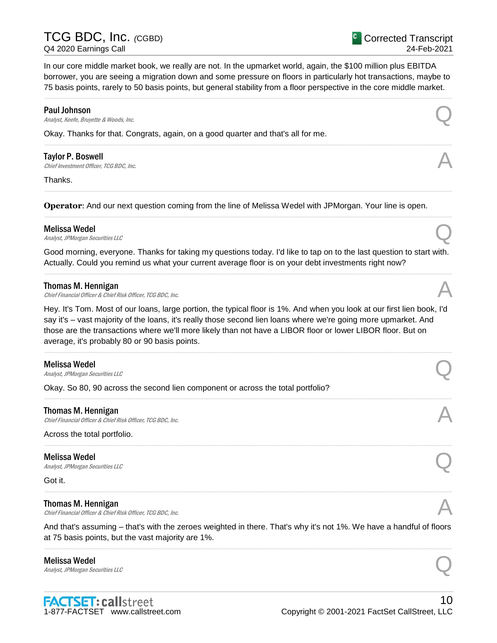In our core middle market book, we really are not. In the upmarket world, again, the \$100 million plus EBITDA borrower, you are seeing a migration down and some pressure on floors in particularly hot transactions, maybe to 75 basis points, rarely to 50 basis points, but general stability from a floor perspective in the core middle market.

......................................................................................................................................................................................................................................................

......................................................................................................................................................................................................................................................

......................................................................................................................................................................................................................................................

......................................................................................................................................................................................................................................................

#### Paul Johnson

**Paul Johnson**<br>Analyst, Keefe, Bruyette & Woods, Inc.

Okay. Thanks for that. Congrats, again, on a good quarter and that's all for me.

**Taylor P. Boswell**<br>Chief Investment Officer, TCG BDC, Inc. **Taylor P. Boswell**<br>Chief Investment Officer, TCG BDC, Inc.  $\mathcal{A}$ 

Thanks.

**Operator**: And our next question coming from the line of Melissa Wedel with JPMorgan. Your line is open.

#### Melissa Wedel

**Melissa Wedel**<br>Analyst, JPMorgan Securities LLC

Good morning, everyone. Thanks for taking my questions today. I'd like to tap on to the last question to start with. Actually. Could you remind us what your current average floor is on your debt investments right now? ......................................................................................................................................................................................................................................................

#### Thomas M. Hennigan

Chief Financial Officer & Chief Risk Officer, TCG BDC, Inc.

Hey. It's Tom. Most of our loans, large portion, the typical floor is 1%. And when you look at our first lien book, I'd say it's – vast majority of the loans, it's really those second lien loans where we're going more upmarket. And those are the transactions where we'll more likely than not have a LIBOR floor or lower LIBOR floor. But on average, it's probably 80 or 90 basis points.

......................................................................................................................................................................................................................................................

......................................................................................................................................................................................................................................................

......................................................................................................................................................................................................................................................

#### Melissa Wedel

**Melissa Wedel**<br>Analyst, JPMorgan Securities LLC

Okay. So 80, 90 across the second lien component or across the total portfolio?

#### Thomas M. Hennigan

Chief Financial Officer & Chief Risk Officer, TCG BDC, Inc.

Across the total portfolio.

#### Melissa Wedel

**Melissa Wedel**<br>Analyst, JPMorgan Securities LLC

Got it.

#### Thomas M. Hennigan

Chief Financial Officer & Chief Risk Officer, TCG BDC, Inc.

And that's assuming – that's with the zeroes weighted in there. That's why it's not 1%. We have a handful of floors at 75 basis points, but the vast majority are 1%. ......................................................................................................................................................................................................................................................

......................................................................................................................................................................................................................................................

## Melissa Wedel **Melissa Wedel**<br>Analyst, JPMorgan Securities LLC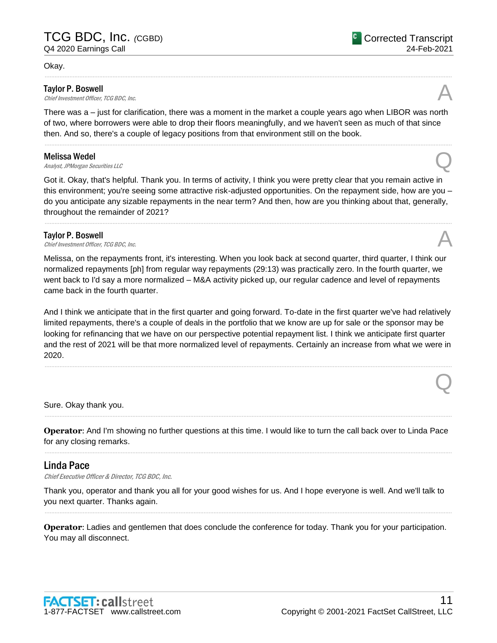#### Okay.

### Taylor P. Boswell

**Taylor P. Boswell**<br>Chief Investment Officer, TCG BDC, Inc.  $\mathcal{A}$ 

There was a – just for clarification, there was a moment in the market a couple years ago when LIBOR was north of two, where borrowers were able to drop their floors meaningfully, and we haven't seen as much of that since then. And so, there's a couple of legacy positions from that environment still on the book.

......................................................................................................................................................................................................................................................

......................................................................................................................................................................................................................................................

**Melissa Wedel**<br>Analyst, JPMorgan Securities LLC **Melissa Wedel**<br>Analyst, JPMorgan Securities LLC

Got it. Okay, that's helpful. Thank you. In terms of activity, I think you were pretty clear that you remain active in this environment; you're seeing some attractive risk-adjusted opportunities. On the repayment side, how are you – do you anticipate any sizable repayments in the near term? And then, how are you thinking about that, generally, throughout the remainder of 2021?

......................................................................................................................................................................................................................................................

### Taylor P. Boswell

**Taylor P. Boswell**<br>Chief Investment Officer, TCG BDC, Inc.  $\mathcal{A}$ 

Melissa, on the repayments front, it's interesting. When you look back at second quarter, third quarter, I think our normalized repayments [ph] from regular way repayments (29:13) was practically zero. In the fourth quarter, we went back to I'd say a more normalized – M&A activity picked up, our regular cadence and level of repayments came back in the fourth quarter.

And I think we anticipate that in the first quarter and going forward. To-date in the first quarter we've had relatively limited repayments, there's a couple of deals in the portfolio that we know are up for sale or the sponsor may be looking for refinancing that we have on our perspective potential repayment list. I think we anticipate first quarter and the rest of 2021 will be that more normalized level of repayments. Certainly an increase from what we were in 2020.

......................................................................................................................................................................................................................................................

Sure. Okay thank you.

**Operator**: And I'm showing no further questions at this time. I would like to turn the call back over to Linda Pace for any closing remarks. ......................................................................................................................................................................................................................................................

......................................................................................................................................................................................................................................................

## Linda Pace

Chief Executive Officer & Director, TCG BDC, Inc.

Thank you, operator and thank you all for your good wishes for us. And I hope everyone is well. And we'll talk to you next quarter. Thanks again.

......................................................................................................................................................................................................................................................

**Operator**: Ladies and gentlemen that does conclude the conference for today. Thank you for your participation. You may all disconnect.



Q